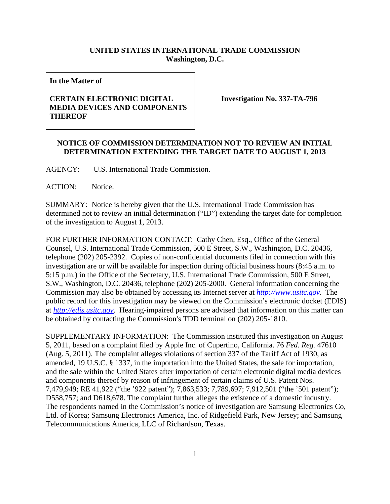## **UNITED STATES INTERNATIONAL TRADE COMMISSION Washington, D.C.**

**In the Matter of** 

## **CERTAIN ELECTRONIC DIGITAL MEDIA DEVICES AND COMPONENTS THEREOF**

**Investigation No. 337-TA-796** 

## **NOTICE OF COMMISSION DETERMINATION NOT TO REVIEW AN INITIAL DETERMINATION EXTENDING THE TARGET DATE TO AUGUST 1, 2013**

AGENCY: U.S. International Trade Commission.

ACTION: Notice.

SUMMARY: Notice is hereby given that the U.S. International Trade Commission has determined not to review an initial determination ("ID") extending the target date for completion of the investigation to August 1, 2013.

FOR FURTHER INFORMATION CONTACT: Cathy Chen, Esq., Office of the General Counsel, U.S. International Trade Commission, 500 E Street, S.W., Washington, D.C. 20436, telephone (202) 205-2392. Copies of non-confidential documents filed in connection with this investigation are or will be available for inspection during official business hours (8:45 a.m. to 5:15 p.m.) in the Office of the Secretary, U.S. International Trade Commission, 500 E Street, S.W., Washington, D.C. 20436, telephone (202) 205-2000. General information concerning the Commission may also be obtained by accessing its Internet server at *http://www.usitc.gov*. The public record for this investigation may be viewed on the Commission's electronic docket (EDIS) at *http://edis.usitc.gov*. Hearing-impaired persons are advised that information on this matter can be obtained by contacting the Commission's TDD terminal on (202) 205-1810.

SUPPLEMENTARY INFORMATION: The Commission instituted this investigation on August 5, 2011, based on a complaint filed by Apple Inc. of Cupertino, California. 76 *Fed. Reg.* 47610 (Aug. 5, 2011). The complaint alleges violations of section 337 of the Tariff Act of 1930, as amended, 19 U.S.C. § 1337, in the importation into the United States, the sale for importation, and the sale within the United States after importation of certain electronic digital media devices and components thereof by reason of infringement of certain claims of U.S. Patent Nos. 7,479,949; RE 41,922 ("the '922 patent"); 7,863,533; 7,789,697; 7,912,501 ("the '501 patent"); D558,757; and D618,678. The complaint further alleges the existence of a domestic industry. The respondents named in the Commission's notice of investigation are Samsung Electronics Co, Ltd. of Korea; Samsung Electronics America, Inc. of Ridgefield Park, New Jersey; and Samsung Telecommunications America, LLC of Richardson, Texas.